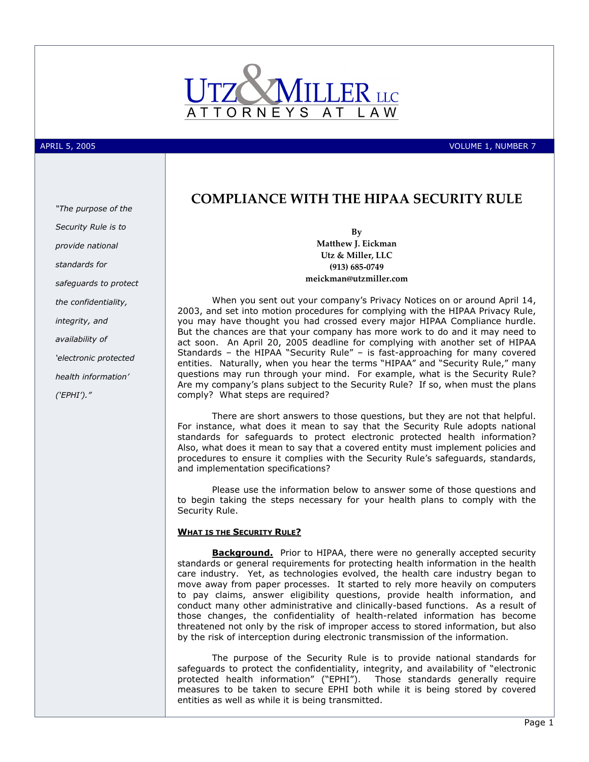

APRIL 5, 2005 VOLUME 1, NUMBER 7

## "The purpose of the Security Rule is to provide national standards for safeguards to protect the confidentiality, integrity, and availability of 'electronic protected health information'

('EPHI')."

## COMPLIANCE WITH THE HIPAA SECURITY RULE

By Matthew J. Eickman Utz & Miller, LLC (913) 685-0749 meickman@utzmiller.com

When you sent out your company's Privacy Notices on or around April 14, 2003, and set into motion procedures for complying with the HIPAA Privacy Rule, you may have thought you had crossed every major HIPAA Compliance hurdle. But the chances are that your company has more work to do and it may need to act soon. An April 20, 2005 deadline for complying with another set of HIPAA Standards – the HIPAA "Security Rule" – is fast-approaching for many covered entities. Naturally, when you hear the terms "HIPAA" and "Security Rule," many questions may run through your mind. For example, what is the Security Rule? Are my company's plans subject to the Security Rule? If so, when must the plans comply? What steps are required?

There are short answers to those questions, but they are not that helpful. For instance, what does it mean to say that the Security Rule adopts national standards for safeguards to protect electronic protected health information? Also, what does it mean to say that a covered entity must implement policies and procedures to ensure it complies with the Security Rule's safeguards, standards, and implementation specifications?

Please use the information below to answer some of those questions and to begin taking the steps necessary for your health plans to comply with the Security Rule.

#### WHAT IS THE SECURITY RULE?

**Background.** Prior to HIPAA, there were no generally accepted security standards or general requirements for protecting health information in the health care industry. Yet, as technologies evolved, the health care industry began to move away from paper processes. It started to rely more heavily on computers to pay claims, answer eligibility questions, provide health information, and conduct many other administrative and clinically-based functions. As a result of those changes, the confidentiality of health-related information has become threatened not only by the risk of improper access to stored information, but also by the risk of interception during electronic transmission of the information.

The purpose of the Security Rule is to provide national standards for safeguards to protect the confidentiality, integrity, and availability of "electronic protected health information" ("EPHI"). Those standards generally require measures to be taken to secure EPHI both while it is being stored by covered entities as well as while it is being transmitted.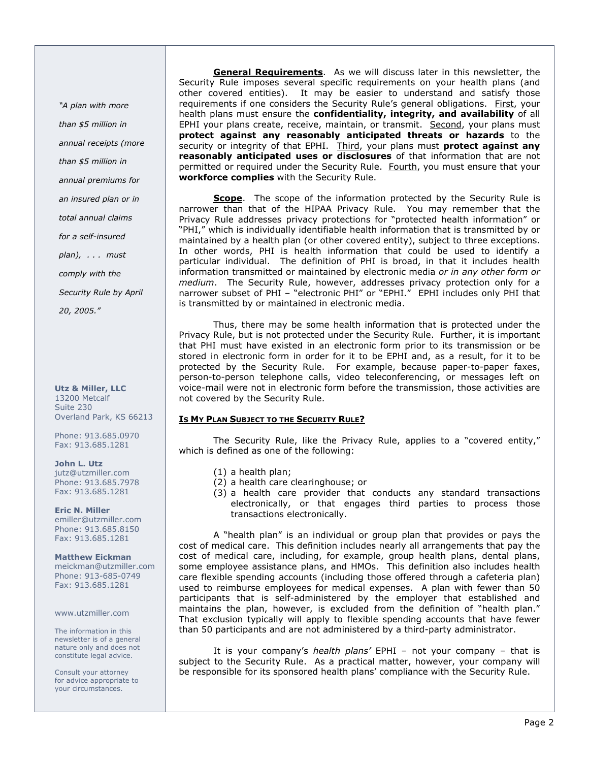"A plan with more than \$5 million in annual receipts (more than \$5 million in annual premiums for an insured plan or in total annual claims for a self-insured  $plan)$ ,  $\ldots$  must comply with the Security Rule by April 20, 2005."

Utz & Miller, LLC 13200 Metcalf Suite 230 Overland Park, KS 66213

Phone: 913.685.0970 Fax: 913.685.1281

John L. Utz jutz@utzmiller.com Phone: 913.685.7978 Fax: 913.685.1281

Eric N. Miller emiller@utzmiller.com Phone: 913.685.8150 Fax: 913.685.1281

Matthew Eickman meickman@utzmiller.com Phone: 913-685-0749 Fax: 913.685.1281

www.utzmiller.com

The information in this newsletter is of a general nature only and does not constitute legal advice.

Consult your attorney for advice appropriate to your circumstances.

General Requirements. As we will discuss later in this newsletter, the Security Rule imposes several specific requirements on your health plans (and other covered entities). It may be easier to understand and satisfy those requirements if one considers the Security Rule's general obligations. First, your health plans must ensure the confidentiality, integrity, and availability of all EPHI your plans create, receive, maintain, or transmit. Second, your plans must protect against any reasonably anticipated threats or hazards to the security or integrity of that EPHI. Third, your plans must protect against any reasonably anticipated uses or disclosures of that information that are not permitted or required under the Security Rule. Fourth, you must ensure that your workforce complies with the Security Rule.

Scope. The scope of the information protected by the Security Rule is narrower than that of the HIPAA Privacy Rule. You may remember that the Privacy Rule addresses privacy protections for "protected health information" or "PHI," which is individually identifiable health information that is transmitted by or maintained by a health plan (or other covered entity), subject to three exceptions. In other words, PHI is health information that could be used to identify a particular individual. The definition of PHI is broad, in that it includes health information transmitted or maintained by electronic media or in any other form or medium. The Security Rule, however, addresses privacy protection only for a narrower subset of PHI – "electronic PHI" or "EPHI." EPHI includes only PHI that is transmitted by or maintained in electronic media.

Thus, there may be some health information that is protected under the Privacy Rule, but is not protected under the Security Rule. Further, it is important that PHI must have existed in an electronic form prior to its transmission or be stored in electronic form in order for it to be EPHI and, as a result, for it to be protected by the Security Rule. For example, because paper-to-paper faxes, person-to-person telephone calls, video teleconferencing, or messages left on voice-mail were not in electronic form before the transmission, those activities are not covered by the Security Rule.

#### IS MY PLAN SUBJECT TO THE SECURITY RULE?

The Security Rule, like the Privacy Rule, applies to a "covered entity," which is defined as one of the following:

- (1) a health plan;
- (2) a health care clearinghouse; or
- (3) a health care provider that conducts any standard transactions electronically, or that engages third parties to process those transactions electronically.

A "health plan" is an individual or group plan that provides or pays the cost of medical care. This definition includes nearly all arrangements that pay the cost of medical care, including, for example, group health plans, dental plans, some employee assistance plans, and HMOs. This definition also includes health care flexible spending accounts (including those offered through a cafeteria plan) used to reimburse employees for medical expenses. A plan with fewer than 50 participants that is self-administered by the employer that established and maintains the plan, however, is excluded from the definition of "health plan." That exclusion typically will apply to flexible spending accounts that have fewer than 50 participants and are not administered by a third-party administrator.

It is your company's health plans' EPHI - not your company - that is subject to the Security Rule. As a practical matter, however, your company will be responsible for its sponsored health plans' compliance with the Security Rule.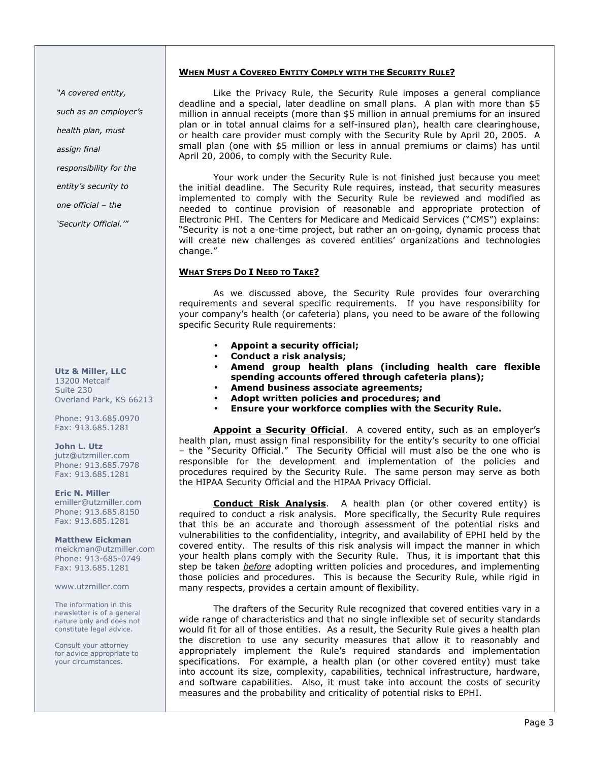#### WHEN MUST A COVERED ENTITY COMPLY WITH THE SECURITY RULE?

"A covered entity,

such as an employer's

health plan, must

assign final

responsibility for the

entity's security to

one official – the

'Security Official.'"

Utz & Miller, LLC 13200 Metcalf Suite 230 Overland Park, KS 66213

Phone: 913.685.0970 Fax: 913.685.1281

John L. Utz jutz@utzmiller.com Phone: 913.685.7978 Fax: 913.685.1281

Eric N. Miller emiller@utzmiller.com Phone: 913.685.8150 Fax: 913.685.1281

Matthew Eickman meickman@utzmiller.com Phone: 913-685-0749 Fax: 913.685.1281

www.utzmiller.com

The information in this newsletter is of a general nature only and does not constitute legal advice.

Consult your attorney for advice appropriate to your circumstances.

Like the Privacy Rule, the Security Rule imposes a general compliance deadline and a special, later deadline on small plans. A plan with more than \$5 million in annual receipts (more than \$5 million in annual premiums for an insured plan or in total annual claims for a self-insured plan), health care clearinghouse, or health care provider must comply with the Security Rule by April 20, 2005. A small plan (one with \$5 million or less in annual premiums or claims) has until April 20, 2006, to comply with the Security Rule.

Your work under the Security Rule is not finished just because you meet the initial deadline. The Security Rule requires, instead, that security measures implemented to comply with the Security Rule be reviewed and modified as needed to continue provision of reasonable and appropriate protection of Electronic PHI. The Centers for Medicare and Medicaid Services ("CMS") explains: "Security is not a one-time project, but rather an on-going, dynamic process that will create new challenges as covered entities' organizations and technologies change."

#### WHAT STEPS DO I NEED TO TAKE?

As we discussed above, the Security Rule provides four overarching requirements and several specific requirements. If you have responsibility for your company's health (or cafeteria) plans, you need to be aware of the following specific Security Rule requirements:

- Appoint a security official;
- Conduct a risk analysis;
- Amend group health plans (including health care flexible spending accounts offered through cafeteria plans);
- Amend business associate agreements;
- Adopt written policies and procedures; and
- Ensure your workforce complies with the Security Rule.

Appoint a Security Official. A covered entity, such as an employer's health plan, must assign final responsibility for the entity's security to one official – the "Security Official." The Security Official will must also be the one who is responsible for the development and implementation of the policies and procedures required by the Security Rule. The same person may serve as both the HIPAA Security Official and the HIPAA Privacy Official.

Conduct Risk Analysis. A health plan (or other covered entity) is required to conduct a risk analysis. More specifically, the Security Rule requires that this be an accurate and thorough assessment of the potential risks and vulnerabilities to the confidentiality, integrity, and availability of EPHI held by the covered entity. The results of this risk analysis will impact the manner in which your health plans comply with the Security Rule. Thus, it is important that this step be taken *before* adopting written policies and procedures, and implementing those policies and procedures. This is because the Security Rule, while rigid in many respects, provides a certain amount of flexibility.

 The drafters of the Security Rule recognized that covered entities vary in a wide range of characteristics and that no single inflexible set of security standards would fit for all of those entities. As a result, the Security Rule gives a health plan the discretion to use any security measures that allow it to reasonably and appropriately implement the Rule's required standards and implementation specifications. For example, a health plan (or other covered entity) must take into account its size, complexity, capabilities, technical infrastructure, hardware, and software capabilities. Also, it must take into account the costs of security measures and the probability and criticality of potential risks to EPHI.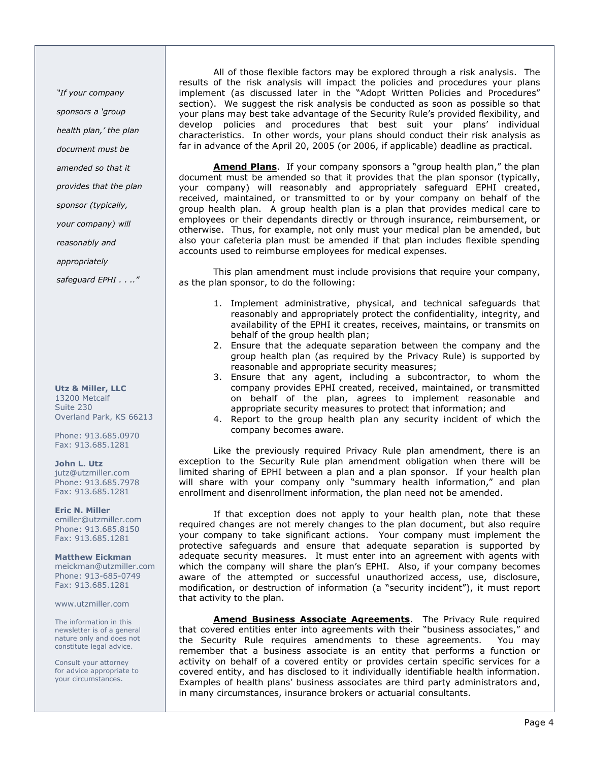"If your company

sponsors a 'group

health plan,' the plan

document must be

amended so that it

provides that the plan

sponsor (typically,

your company) will

reasonably and

appropriately

safequard EPHI . . .."

Utz & Miller, LLC 13200 Metcalf Suite 230 Overland Park, KS 66213

Phone: 913.685.0970 Fax: 913.685.1281

John L. Utz jutz@utzmiller.com Phone: 913.685.7978 Fax: 913.685.1281

Eric N. Miller emiller@utzmiller.com Phone: 913.685.8150 Fax: 913.685.1281

Matthew Eickman meickman@utzmiller.com Phone: 913-685-0749 Fax: 913.685.1281

#### www.utzmiller.com

The information in this newsletter is of a general nature only and does not constitute legal advice.

Consult your attorney for advice appropriate to your circumstances.

 All of those flexible factors may be explored through a risk analysis. The results of the risk analysis will impact the policies and procedures your plans implement (as discussed later in the "Adopt Written Policies and Procedures" section). We suggest the risk analysis be conducted as soon as possible so that your plans may best take advantage of the Security Rule's provided flexibility, and develop policies and procedures that best suit your plans' individual characteristics. In other words, your plans should conduct their risk analysis as far in advance of the April 20, 2005 (or 2006, if applicable) deadline as practical.

**Amend Plans**. If your company sponsors a "group health plan," the plan document must be amended so that it provides that the plan sponsor (typically, your company) will reasonably and appropriately safeguard EPHI created, received, maintained, or transmitted to or by your company on behalf of the group health plan. A group health plan is a plan that provides medical care to employees or their dependants directly or through insurance, reimbursement, or otherwise. Thus, for example, not only must your medical plan be amended, but also your cafeteria plan must be amended if that plan includes flexible spending accounts used to reimburse employees for medical expenses.

This plan amendment must include provisions that require your company, as the plan sponsor, to do the following:

- 1. Implement administrative, physical, and technical safeguards that reasonably and appropriately protect the confidentiality, integrity, and availability of the EPHI it creates, receives, maintains, or transmits on behalf of the group health plan;
- 2. Ensure that the adequate separation between the company and the group health plan (as required by the Privacy Rule) is supported by reasonable and appropriate security measures;
- 3. Ensure that any agent, including a subcontractor, to whom the company provides EPHI created, received, maintained, or transmitted on behalf of the plan, agrees to implement reasonable and appropriate security measures to protect that information; and
- 4. Report to the group health plan any security incident of which the company becomes aware.

Like the previously required Privacy Rule plan amendment, there is an exception to the Security Rule plan amendment obligation when there will be limited sharing of EPHI between a plan and a plan sponsor. If your health plan will share with your company only "summary health information," and plan enrollment and disenrollment information, the plan need not be amended.

If that exception does not apply to your health plan, note that these required changes are not merely changes to the plan document, but also require your company to take significant actions. Your company must implement the protective safeguards and ensure that adequate separation is supported by adequate security measures. It must enter into an agreement with agents with which the company will share the plan's EPHI. Also, if your company becomes aware of the attempted or successful unauthorized access, use, disclosure, modification, or destruction of information (a "security incident"), it must report that activity to the plan.

Amend Business Associate Agreements. The Privacy Rule required that covered entities enter into agreements with their "business associates," and the Security Rule requires amendments to these agreements. You may remember that a business associate is an entity that performs a function or activity on behalf of a covered entity or provides certain specific services for a covered entity, and has disclosed to it individually identifiable health information. Examples of health plans' business associates are third party administrators and, in many circumstances, insurance brokers or actuarial consultants.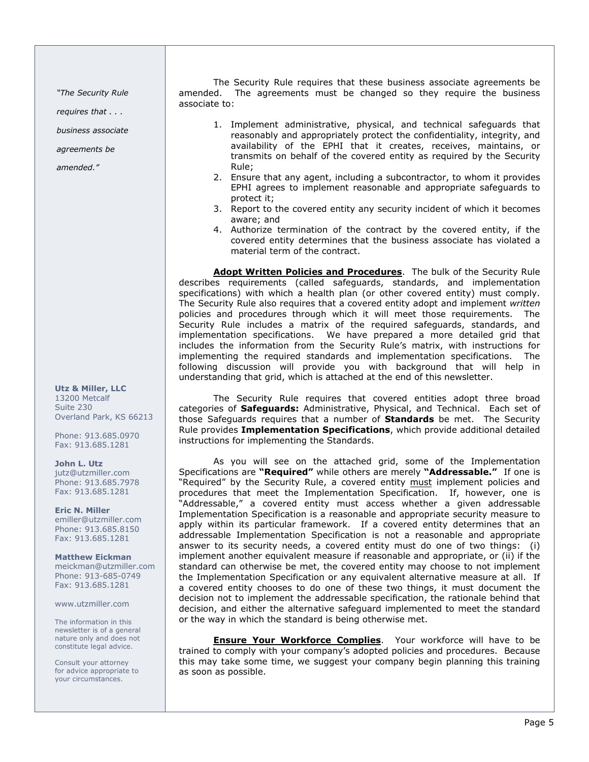"The Security Rule

requires that . . .

business associate

agreements be

amended."

Utz & Miller, LLC 13200 Metcalf Suite 230 Overland Park, KS 66213

Phone: 913.685.0970 Fax: 913.685.1281

John L. Utz

jutz@utzmiller.com Phone: 913.685.7978 Fax: 913.685.1281

Eric N. Miller emiller@utzmiller.com Phone: 913.685.8150 Fax: 913.685.1281

Matthew Eickman meickman@utzmiller.com Phone: 913-685-0749 Fax: 913.685.1281

www.utzmiller.com

The information in this newsletter is of a general nature only and does not constitute legal advice.

Consult your attorney for advice appropriate to your circumstances.

The Security Rule requires that these business associate agreements be amended. The agreements must be changed so they require the business associate to:

- 1. Implement administrative, physical, and technical safeguards that reasonably and appropriately protect the confidentiality, integrity, and availability of the EPHI that it creates, receives, maintains, or transmits on behalf of the covered entity as required by the Security Rule;
- 2. Ensure that any agent, including a subcontractor, to whom it provides EPHI agrees to implement reasonable and appropriate safeguards to protect it;
- 3. Report to the covered entity any security incident of which it becomes aware; and
- 4. Authorize termination of the contract by the covered entity, if the covered entity determines that the business associate has violated a material term of the contract.

Adopt Written Policies and Procedures. The bulk of the Security Rule describes requirements (called safeguards, standards, and implementation specifications) with which a health plan (or other covered entity) must comply. The Security Rule also requires that a covered entity adopt and implement written policies and procedures through which it will meet those requirements. The Security Rule includes a matrix of the required safeguards, standards, and implementation specifications. We have prepared a more detailed grid that includes the information from the Security Rule's matrix, with instructions for implementing the required standards and implementation specifications. The following discussion will provide you with background that will help in understanding that grid, which is attached at the end of this newsletter.

The Security Rule requires that covered entities adopt three broad categories of Safeguards: Administrative, Physical, and Technical. Each set of those Safequards requires that a number of **Standards** be met. The Security Rule provides Implementation Specifications, which provide additional detailed instructions for implementing the Standards.

As you will see on the attached grid, some of the Implementation Specifications are "Required" while others are merely "Addressable." If one is "Required" by the Security Rule, a covered entity must implement policies and procedures that meet the Implementation Specification. If, however, one is "Addressable," a covered entity must access whether a given addressable Implementation Specification is a reasonable and appropriate security measure to apply within its particular framework. If a covered entity determines that an addressable Implementation Specification is not a reasonable and appropriate answer to its security needs, a covered entity must do one of two things: (i) implement another equivalent measure if reasonable and appropriate, or (ii) if the standard can otherwise be met, the covered entity may choose to not implement the Implementation Specification or any equivalent alternative measure at all. If a covered entity chooses to do one of these two things, it must document the decision not to implement the addressable specification, the rationale behind that decision, and either the alternative safeguard implemented to meet the standard or the way in which the standard is being otherwise met.

**Ensure Your Workforce Complies**. Your workforce will have to be trained to comply with your company's adopted policies and procedures. Because this may take some time, we suggest your company begin planning this training as soon as possible.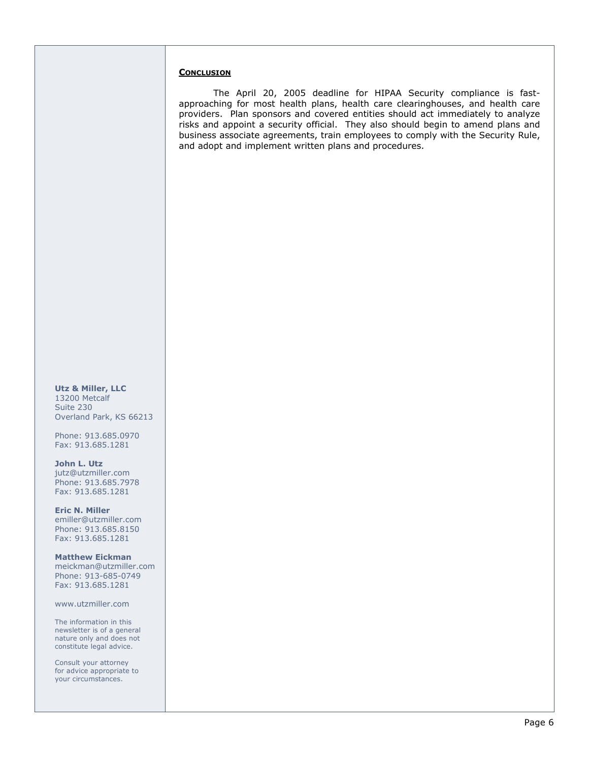#### **CONCLUSION**

 The April 20, 2005 deadline for HIPAA Security compliance is fastapproaching for most health plans, health care clearinghouses, and health care providers. Plan sponsors and covered entities should act immediately to analyze risks and appoint a security official. They also should begin to amend plans and business associate agreements, train employees to comply with the Security Rule, and adopt and implement written plans and procedures.

Utz & Miller, LLC 13200 Metcalf Suite 230 Overland Park, KS 66213

Phone: 913.685.0970 Fax: 913.685.1281

John L. Utz jutz@utzmiller.com Phone: 913.685.7978 Fax: 913.685.1281

Eric N. Miller emiller@utzmiller.com Phone: 913.685.8150 Fax: 913.685.1281

Matthew Eickman meickman@utzmiller.com Phone: 913-685-0749 Fax: 913.685.1281

www.utzmiller.com

The information in this newsletter is of a general nature only and does not constitute legal advice.

Consult your attorney for advice appropriate to your circumstances.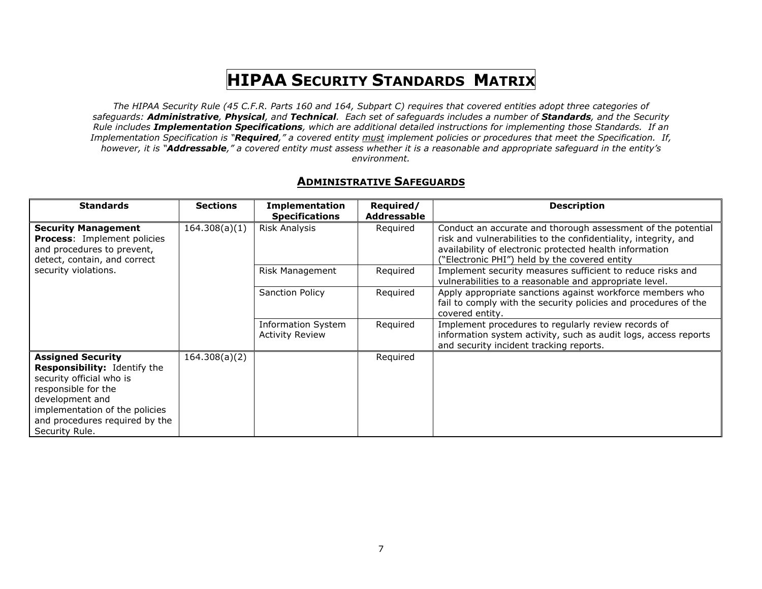# HIPAA <sup>S</sup>ECURITY STANDARDS MATRIX

The HIPAA Security Rule (45 C.F.R. Parts 160 and 164, Subpart C) requires that covered entities adopt three categories of safeguards: **Administrative, Physical,** and **Technical**. Each set of safeguards includes a number of **Standards,** and the Security Rule includes Implementation Specifications, which are additional detailed instructions for implementing those Standards. If an Implementation Specification is "**Required**," a covered entity <u>must</u> implement policies or procedures that meet the Specification. If, however, it is "Addressable," a covered entity must assess whether it is a reasonable and appropriate safeguard in the entity's environment.

### **ADMINISTRATIVE SAFEGUARDS**

| <b>Standards</b>                                                                                                                                                                                                     | <b>Sections</b> | <b>Implementation</b>                               | Required/   | <b>Description</b>                                                                                                                                                                                                                         |
|----------------------------------------------------------------------------------------------------------------------------------------------------------------------------------------------------------------------|-----------------|-----------------------------------------------------|-------------|--------------------------------------------------------------------------------------------------------------------------------------------------------------------------------------------------------------------------------------------|
|                                                                                                                                                                                                                      |                 | <b>Specifications</b>                               | Addressable |                                                                                                                                                                                                                                            |
| <b>Security Management</b><br><b>Process:</b> Implement policies<br>and procedures to prevent,<br>detect, contain, and correct                                                                                       | 164.308(a)(1)   | Risk Analysis                                       | Required    | Conduct an accurate and thorough assessment of the potential<br>risk and vulnerabilities to the confidentiality, integrity, and<br>availability of electronic protected health information<br>"Electronic PHI") held by the covered entity |
| security violations.                                                                                                                                                                                                 |                 | Risk Management                                     | Required    | Implement security measures sufficient to reduce risks and<br>vulnerabilities to a reasonable and appropriate level.                                                                                                                       |
|                                                                                                                                                                                                                      |                 | Sanction Policy                                     | Required    | Apply appropriate sanctions against workforce members who<br>fail to comply with the security policies and procedures of the<br>covered entity.                                                                                            |
|                                                                                                                                                                                                                      |                 | <b>Information System</b><br><b>Activity Review</b> | Required    | Implement procedures to regularly review records of<br>information system activity, such as audit logs, access reports<br>and security incident tracking reports.                                                                          |
| <b>Assigned Security</b><br>Responsibility: Identify the<br>security official who is<br>responsible for the<br>development and<br>implementation of the policies<br>and procedures required by the<br>Security Rule. | 164.308(a)(2)   |                                                     | Required    |                                                                                                                                                                                                                                            |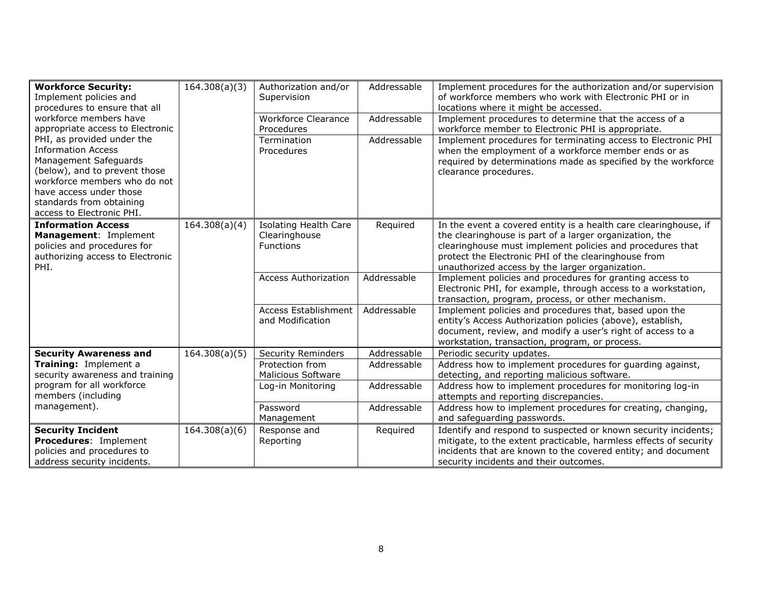| <b>Workforce Security:</b><br>Implement policies and<br>procedures to ensure that all<br>workforce members have                                                                                                                       | 164.308(a)(3)               | Authorization and/or<br>Supervision<br><b>Workforce Clearance</b> | Addressable<br>Addressable | Implement procedures for the authorization and/or supervision<br>of workforce members who work with Electronic PHI or in<br>locations where it might be accessed.<br>Implement procedures to determine that the access of a                                                                         |
|---------------------------------------------------------------------------------------------------------------------------------------------------------------------------------------------------------------------------------------|-----------------------------|-------------------------------------------------------------------|----------------------------|-----------------------------------------------------------------------------------------------------------------------------------------------------------------------------------------------------------------------------------------------------------------------------------------------------|
| appropriate access to Electronic                                                                                                                                                                                                      |                             | Procedures                                                        |                            | workforce member to Electronic PHI is appropriate.                                                                                                                                                                                                                                                  |
| PHI, as provided under the<br><b>Information Access</b><br>Management Safeguards<br>(below), and to prevent those<br>workforce members who do not<br>have access under those<br>standards from obtaining<br>access to Electronic PHI. |                             | Termination<br>Procedures                                         | Addressable                | Implement procedures for terminating access to Electronic PHI<br>when the employment of a workforce member ends or as<br>required by determinations made as specified by the workforce<br>clearance procedures.                                                                                     |
| <b>Information Access</b><br>Management: Implement<br>policies and procedures for<br>authorizing access to Electronic<br>PHI.                                                                                                         | 164.308(a)(4)               | <b>Isolating Health Care</b><br>Clearinghouse<br><b>Functions</b> | Required                   | In the event a covered entity is a health care clearinghouse, if<br>the clearinghouse is part of a larger organization, the<br>clearinghouse must implement policies and procedures that<br>protect the Electronic PHI of the clearinghouse from<br>unauthorized access by the larger organization. |
|                                                                                                                                                                                                                                       |                             | <b>Access Authorization</b>                                       | Addressable                | Implement policies and procedures for granting access to<br>Electronic PHI, for example, through access to a workstation,<br>transaction, program, process, or other mechanism.                                                                                                                     |
|                                                                                                                                                                                                                                       |                             | <b>Access Establishment</b><br>and Modification                   | Addressable                | Implement policies and procedures that, based upon the<br>entity's Access Authorization policies (above), establish,<br>document, review, and modify a user's right of access to a<br>workstation, transaction, program, or process.                                                                |
| <b>Security Awareness and</b>                                                                                                                                                                                                         | $\overline{16}$ 4.308(a)(5) | <b>Security Reminders</b>                                         | Addressable                | Periodic security updates.                                                                                                                                                                                                                                                                          |
| Training: Implement a<br>security awareness and training                                                                                                                                                                              |                             | Protection from<br><b>Malicious Software</b>                      | Addressable                | Address how to implement procedures for quarding against,<br>detecting, and reporting malicious software.                                                                                                                                                                                           |
| program for all workforce<br>members (including                                                                                                                                                                                       |                             | Log-in Monitoring                                                 | Addressable                | Address how to implement procedures for monitoring log-in<br>attempts and reporting discrepancies.                                                                                                                                                                                                  |
| management).                                                                                                                                                                                                                          |                             | Password<br>Management                                            | Addressable                | Address how to implement procedures for creating, changing,<br>and safeguarding passwords.                                                                                                                                                                                                          |
| <b>Security Incident</b><br><b>Procedures: Implement</b><br>policies and procedures to<br>address security incidents.                                                                                                                 | 164.308(a)(6)               | Response and<br>Reporting                                         | Required                   | Identify and respond to suspected or known security incidents;<br>mitigate, to the extent practicable, harmless effects of security<br>incidents that are known to the covered entity; and document<br>security incidents and their outcomes.                                                       |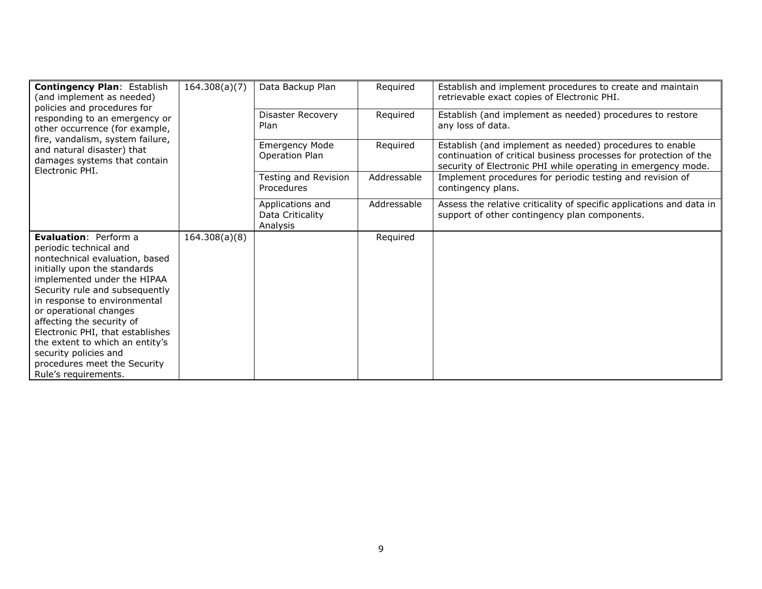| <b>Contingency Plan: Establish</b><br>(and implement as needed)<br>policies and procedures for<br>responding to an emergency or<br>other occurrence (for example,<br>fire, vandalism, system failure,<br>and natural disaster) that<br>damages systems that contain<br>Electronic PHI. | 164.308(a)(7) | Data Backup Plan                                 | Required    | Establish and implement procedures to create and maintain<br>retrievable exact copies of Electronic PHI.                                                                                       |
|----------------------------------------------------------------------------------------------------------------------------------------------------------------------------------------------------------------------------------------------------------------------------------------|---------------|--------------------------------------------------|-------------|------------------------------------------------------------------------------------------------------------------------------------------------------------------------------------------------|
|                                                                                                                                                                                                                                                                                        |               | Disaster Recovery<br>Plan                        | Required    | Establish (and implement as needed) procedures to restore<br>any loss of data.                                                                                                                 |
|                                                                                                                                                                                                                                                                                        |               | <b>Emergency Mode</b><br>Operation Plan          | Required    | Establish (and implement as needed) procedures to enable<br>continuation of critical business processes for protection of the<br>security of Electronic PHI while operating in emergency mode. |
|                                                                                                                                                                                                                                                                                        |               | Testing and Revision<br>Procedures               | Addressable | Implement procedures for periodic testing and revision of<br>contingency plans.                                                                                                                |
|                                                                                                                                                                                                                                                                                        |               | Applications and<br>Data Criticality<br>Analysis | Addressable | Assess the relative criticality of specific applications and data in<br>support of other contingency plan components.                                                                          |
| <b>Evaluation: Perform a</b>                                                                                                                                                                                                                                                           | 164.308(a)(8) |                                                  | Required    |                                                                                                                                                                                                |
| periodic technical and<br>nontechnical evaluation, based                                                                                                                                                                                                                               |               |                                                  |             |                                                                                                                                                                                                |
| initially upon the standards                                                                                                                                                                                                                                                           |               |                                                  |             |                                                                                                                                                                                                |
| implemented under the HIPAA                                                                                                                                                                                                                                                            |               |                                                  |             |                                                                                                                                                                                                |
| Security rule and subsequently                                                                                                                                                                                                                                                         |               |                                                  |             |                                                                                                                                                                                                |
| in response to environmental                                                                                                                                                                                                                                                           |               |                                                  |             |                                                                                                                                                                                                |
| or operational changes                                                                                                                                                                                                                                                                 |               |                                                  |             |                                                                                                                                                                                                |
| affecting the security of                                                                                                                                                                                                                                                              |               |                                                  |             |                                                                                                                                                                                                |
| Electronic PHI, that establishes                                                                                                                                                                                                                                                       |               |                                                  |             |                                                                                                                                                                                                |
| the extent to which an entity's<br>security policies and                                                                                                                                                                                                                               |               |                                                  |             |                                                                                                                                                                                                |
| procedures meet the Security                                                                                                                                                                                                                                                           |               |                                                  |             |                                                                                                                                                                                                |
| Rule's requirements.                                                                                                                                                                                                                                                                   |               |                                                  |             |                                                                                                                                                                                                |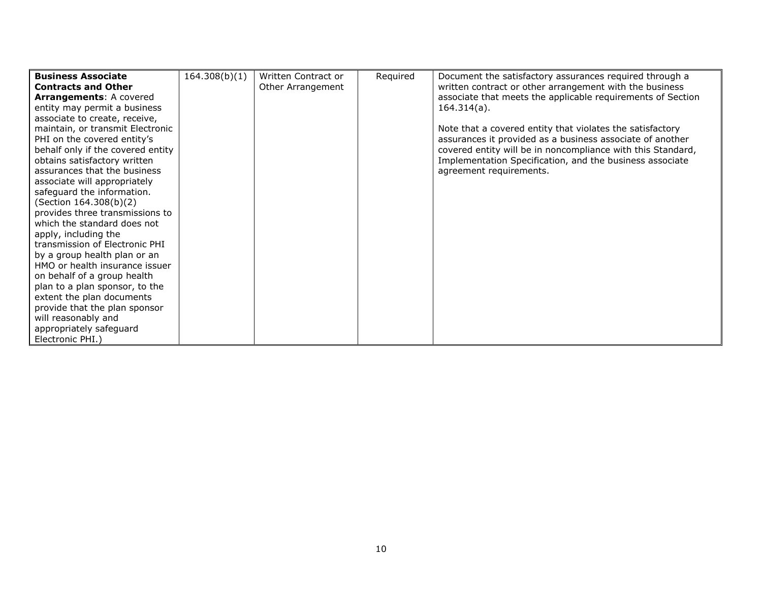| <b>Business Associate</b>         | 164.308(b)(1) | Written Contract or | Required | Document the satisfactory assurances required through a     |
|-----------------------------------|---------------|---------------------|----------|-------------------------------------------------------------|
| <b>Contracts and Other</b>        |               | Other Arrangement   |          | written contract or other arrangement with the business     |
| <b>Arrangements: A covered</b>    |               |                     |          | associate that meets the applicable requirements of Section |
| entity may permit a business      |               |                     |          | $164.314(a)$ .                                              |
| associate to create, receive,     |               |                     |          |                                                             |
| maintain, or transmit Electronic  |               |                     |          | Note that a covered entity that violates the satisfactory   |
| PHI on the covered entity's       |               |                     |          | assurances it provided as a business associate of another   |
| behalf only if the covered entity |               |                     |          | covered entity will be in noncompliance with this Standard, |
| obtains satisfactory written      |               |                     |          | Implementation Specification, and the business associate    |
| assurances that the business      |               |                     |          | agreement requirements.                                     |
| associate will appropriately      |               |                     |          |                                                             |
| safeguard the information.        |               |                     |          |                                                             |
| (Section 164.308(b)(2)            |               |                     |          |                                                             |
| provides three transmissions to   |               |                     |          |                                                             |
| which the standard does not       |               |                     |          |                                                             |
| apply, including the              |               |                     |          |                                                             |
| transmission of Electronic PHI    |               |                     |          |                                                             |
| by a group health plan or an      |               |                     |          |                                                             |
| HMO or health insurance issuer    |               |                     |          |                                                             |
| on behalf of a group health       |               |                     |          |                                                             |
| plan to a plan sponsor, to the    |               |                     |          |                                                             |
| extent the plan documents         |               |                     |          |                                                             |
| provide that the plan sponsor     |               |                     |          |                                                             |
| will reasonably and               |               |                     |          |                                                             |
| appropriately safeguard           |               |                     |          |                                                             |
| Electronic PHI.)                  |               |                     |          |                                                             |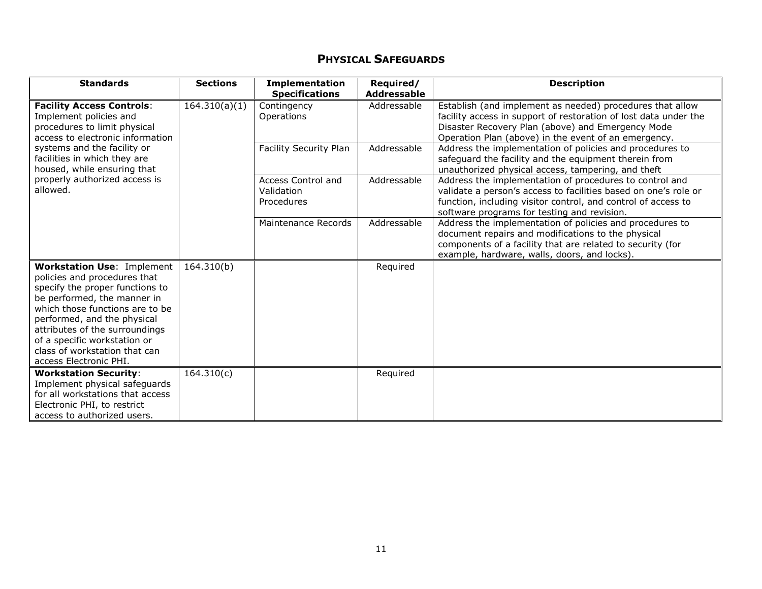## PHYSICAL SAFEGUARDS

| <b>Standards</b>                                                                                                                                                                                                                                                                                                                   | <b>Sections</b> | <b>Implementation</b><br><b>Specifications</b> | Required/<br><b>Addressable</b> | <b>Description</b>                                                                                                                                                                                                                         |
|------------------------------------------------------------------------------------------------------------------------------------------------------------------------------------------------------------------------------------------------------------------------------------------------------------------------------------|-----------------|------------------------------------------------|---------------------------------|--------------------------------------------------------------------------------------------------------------------------------------------------------------------------------------------------------------------------------------------|
| <b>Facility Access Controls:</b><br>Implement policies and<br>procedures to limit physical<br>access to electronic information                                                                                                                                                                                                     | 164.310(a)(1)   | Contingency<br>Operations                      | Addressable                     | Establish (and implement as needed) procedures that allow<br>facility access in support of restoration of lost data under the<br>Disaster Recovery Plan (above) and Emergency Mode<br>Operation Plan (above) in the event of an emergency. |
| systems and the facility or<br>facilities in which they are<br>housed, while ensuring that                                                                                                                                                                                                                                         |                 | <b>Facility Security Plan</b>                  | Addressable                     | Address the implementation of policies and procedures to<br>safeguard the facility and the equipment therein from<br>unauthorized physical access, tampering, and theft                                                                    |
| properly authorized access is<br>allowed.                                                                                                                                                                                                                                                                                          |                 | Access Control and<br>Validation<br>Procedures | Addressable                     | Address the implementation of procedures to control and<br>validate a person's access to facilities based on one's role or<br>function, including visitor control, and control of access to<br>software programs for testing and revision. |
|                                                                                                                                                                                                                                                                                                                                    |                 | Maintenance Records                            | Addressable                     | Address the implementation of policies and procedures to<br>document repairs and modifications to the physical<br>components of a facility that are related to security (for<br>example, hardware, walls, doors, and locks).               |
| <b>Workstation Use: Implement</b><br>policies and procedures that<br>specify the proper functions to<br>be performed, the manner in<br>which those functions are to be<br>performed, and the physical<br>attributes of the surroundings<br>of a specific workstation or<br>class of workstation that can<br>access Electronic PHI. | 164.310(b)      |                                                | Required                        |                                                                                                                                                                                                                                            |
| <b>Workstation Security:</b><br>Implement physical safeguards<br>for all workstations that access<br>Electronic PHI, to restrict<br>access to authorized users.                                                                                                                                                                    | 164.310(c)      |                                                | Required                        |                                                                                                                                                                                                                                            |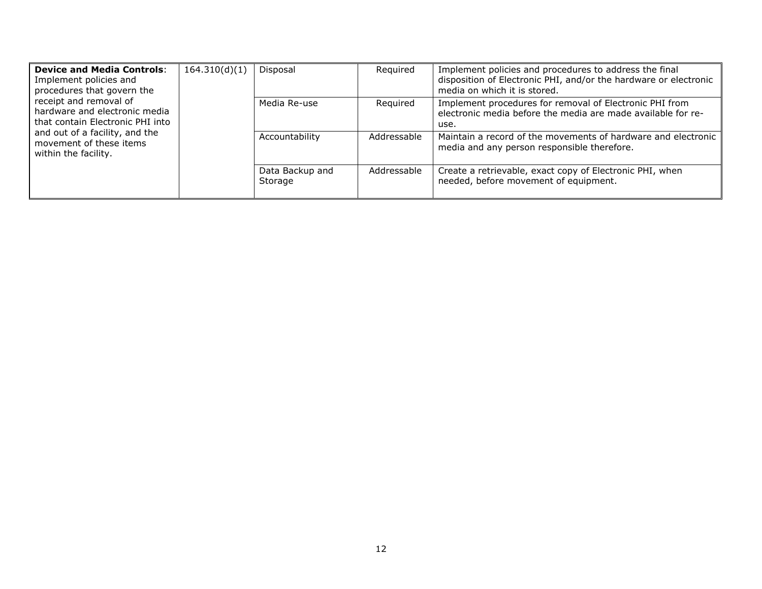| <b>Device and Media Controls:</b><br>Implement policies and<br>procedures that govern the<br>receipt and removal of<br>hardware and electronic media<br>that contain Electronic PHI into<br>and out of a facility, and the<br>movement of these items<br>within the facility. | 164.310(d)(1) | Disposal                   | Required    | Implement policies and procedures to address the final<br>disposition of Electronic PHI, and/or the hardware or electronic<br>media on which it is stored. |
|-------------------------------------------------------------------------------------------------------------------------------------------------------------------------------------------------------------------------------------------------------------------------------|---------------|----------------------------|-------------|------------------------------------------------------------------------------------------------------------------------------------------------------------|
|                                                                                                                                                                                                                                                                               |               | Media Re-use               | Required    | Implement procedures for removal of Electronic PHI from<br>electronic media before the media are made available for re-<br>use.                            |
|                                                                                                                                                                                                                                                                               |               | Accountability             | Addressable | Maintain a record of the movements of hardware and electronic<br>media and any person responsible therefore.                                               |
|                                                                                                                                                                                                                                                                               |               | Data Backup and<br>Storage | Addressable | Create a retrievable, exact copy of Electronic PHI, when<br>needed, before movement of equipment.                                                          |